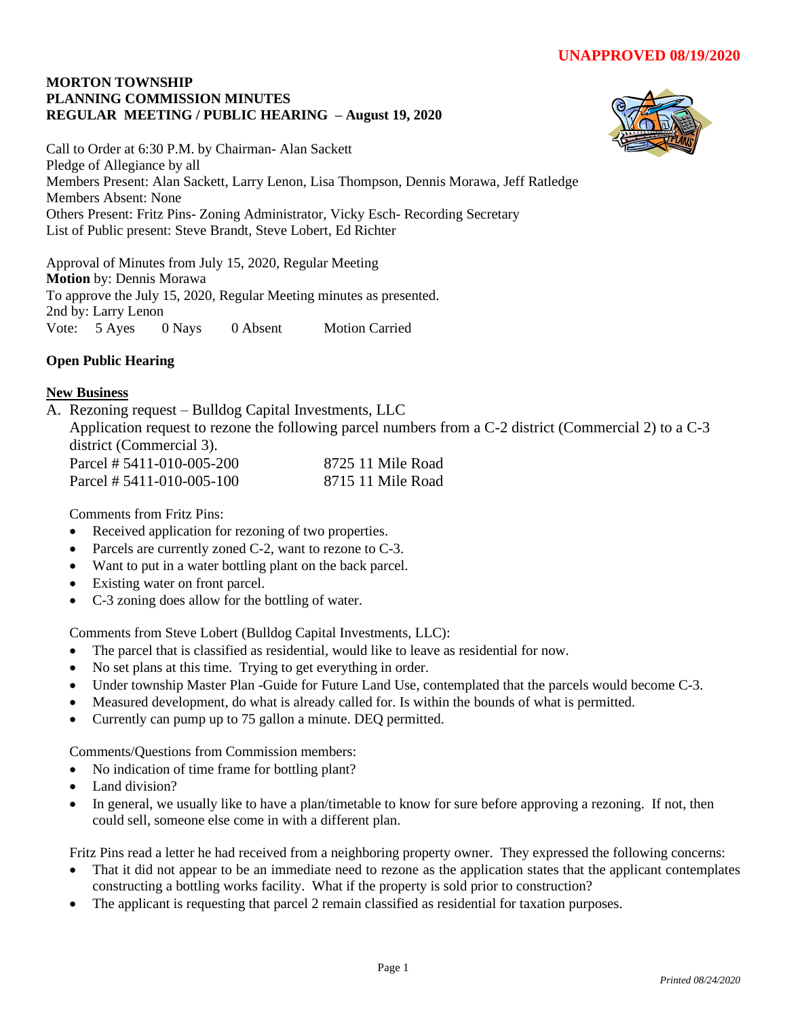### **MORTON TOWNSHIP PLANNING COMMISSION MINUTES REGULAR MEETING / PUBLIC HEARING – August 19, 2020**



Call to Order at 6:30 P.M. by Chairman- Alan Sackett Pledge of Allegiance by all Members Present: Alan Sackett, Larry Lenon, Lisa Thompson, Dennis Morawa, Jeff Ratledge Members Absent: None Others Present: Fritz Pins- Zoning Administrator, Vicky Esch- Recording Secretary List of Public present: Steve Brandt, Steve Lobert, Ed Richter

Approval of Minutes from July 15, 2020, Regular Meeting **Motion** by: Dennis Morawa To approve the July 15, 2020, Regular Meeting minutes as presented. 2nd by: Larry Lenon Vote: 5 Ayes 0 Nays 0 Absent Motion Carried

# **Open Public Hearing**

## **New Business**

A. Rezoning request – Bulldog Capital Investments, LLC Application request to rezone the following parcel numbers from a C-2 district (Commercial 2) to a C-3 district (Commercial 3). Parcel # 5411-010-005-200 8725 11 Mile Road Parcel # 5411-010-005-100 8715 11 Mile Road

Comments from Fritz Pins:

- Received application for rezoning of two properties.
- Parcels are currently zoned C-2, want to rezone to C-3.
- Want to put in a water bottling plant on the back parcel.
- Existing water on front parcel.
- C-3 zoning does allow for the bottling of water.

Comments from Steve Lobert (Bulldog Capital Investments, LLC):

- The parcel that is classified as residential, would like to leave as residential for now.
- No set plans at this time. Trying to get everything in order.
- Under township Master Plan -Guide for Future Land Use, contemplated that the parcels would become C-3.
- Measured development, do what is already called for. Is within the bounds of what is permitted.
- Currently can pump up to 75 gallon a minute. DEQ permitted.

Comments/Questions from Commission members:

- No indication of time frame for bottling plant?
- Land division?
- In general, we usually like to have a plan/timetable to know for sure before approving a rezoning. If not, then could sell, someone else come in with a different plan.

Fritz Pins read a letter he had received from a neighboring property owner. They expressed the following concerns:

- That it did not appear to be an immediate need to rezone as the application states that the applicant contemplates constructing a bottling works facility. What if the property is sold prior to construction?
- The applicant is requesting that parcel 2 remain classified as residential for taxation purposes.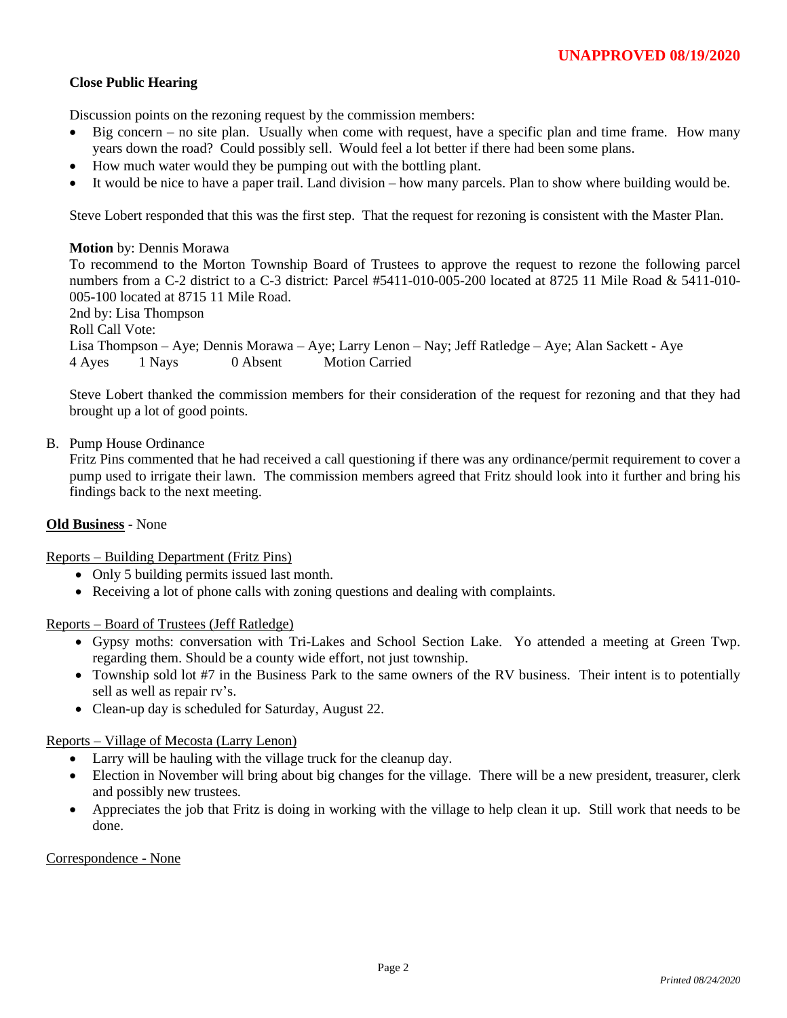### **Close Public Hearing**

Discussion points on the rezoning request by the commission members:

- Big concern no site plan. Usually when come with request, have a specific plan and time frame. How many years down the road? Could possibly sell. Would feel a lot better if there had been some plans.
- How much water would they be pumping out with the bottling plant.
- It would be nice to have a paper trail. Land division how many parcels. Plan to show where building would be.

Steve Lobert responded that this was the first step. That the request for rezoning is consistent with the Master Plan.

# **Motion** by: Dennis Morawa To recommend to the Morton Township Board of Trustees to approve the request to rezone the following parcel numbers from a C-2 district to a C-3 district: Parcel #5411-010-005-200 located at 8725 11 Mile Road & 5411-010- 005-100 located at 8715 11 Mile Road. 2nd by: Lisa Thompson Roll Call Vote:

Lisa Thompson – Aye; Dennis Morawa – Aye; Larry Lenon – Nay; Jeff Ratledge – Aye; Alan Sackett - Aye 4 Ayes 1 Nays 0 Absent Motion Carried

Steve Lobert thanked the commission members for their consideration of the request for rezoning and that they had brought up a lot of good points.

### B. Pump House Ordinance

Fritz Pins commented that he had received a call questioning if there was any ordinance/permit requirement to cover a pump used to irrigate their lawn. The commission members agreed that Fritz should look into it further and bring his findings back to the next meeting.

#### **Old Business** - None

Reports – Building Department (Fritz Pins)

- Only 5 building permits issued last month.
- Receiving a lot of phone calls with zoning questions and dealing with complaints.

Reports – Board of Trustees (Jeff Ratledge)

- Gypsy moths: conversation with Tri-Lakes and School Section Lake. Yo attended a meeting at Green Twp. regarding them. Should be a county wide effort, not just township.
- Township sold lot #7 in the Business Park to the same owners of the RV business. Their intent is to potentially sell as well as repair rv's.
- Clean-up day is scheduled for Saturday, August 22.

Reports – Village of Mecosta (Larry Lenon)

- Larry will be hauling with the village truck for the cleanup day.
- Election in November will bring about big changes for the village. There will be a new president, treasurer, clerk and possibly new trustees.
- Appreciates the job that Fritz is doing in working with the village to help clean it up. Still work that needs to be done.

#### Correspondence - None